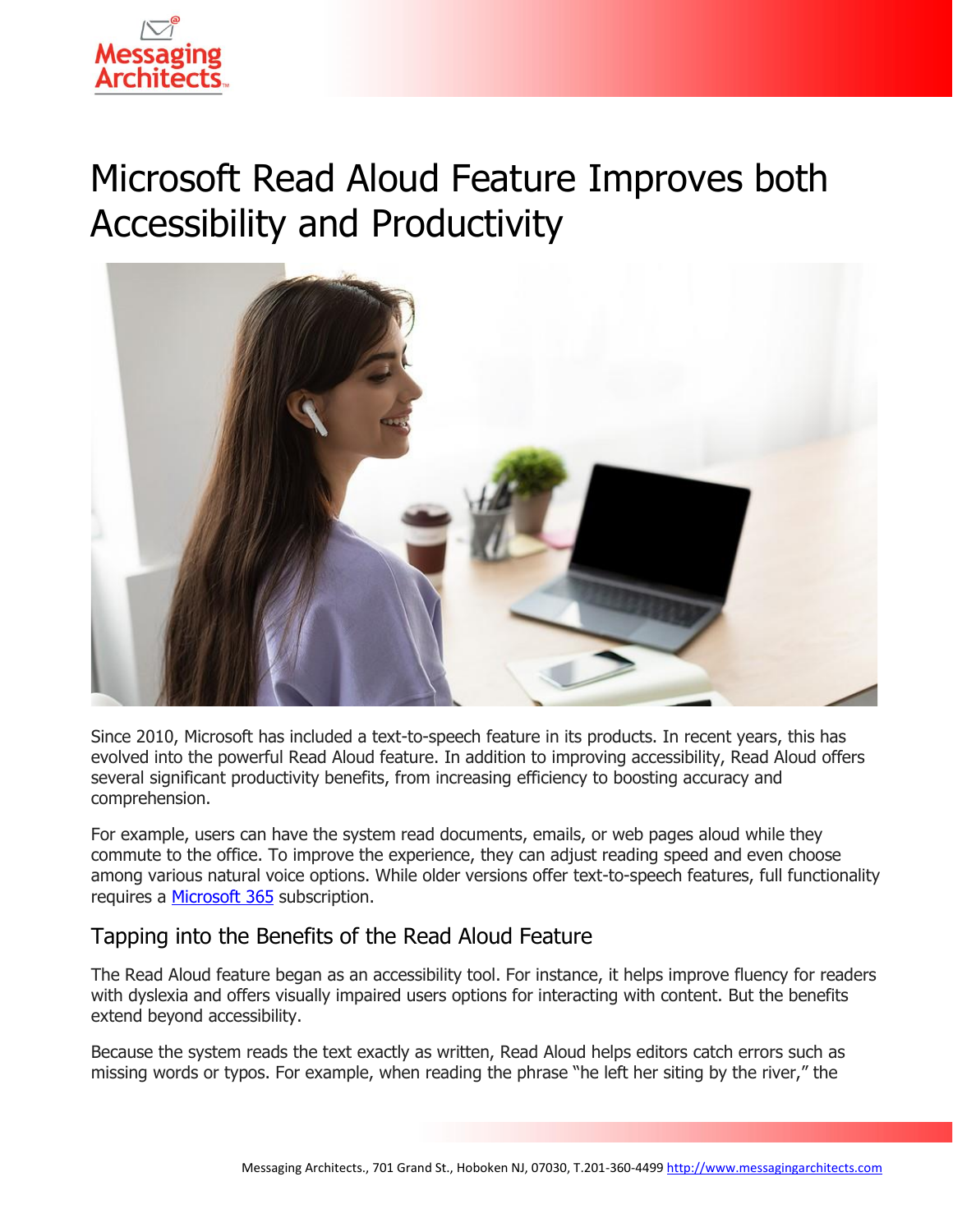

# Microsoft Read Aloud Feature Improves both Accessibility and Productivity



Since 2010, Microsoft has included a text-to-speech feature in its products. In recent years, this has evolved into the powerful Read Aloud feature. In addition to improving accessibility, Read Aloud offers several significant productivity benefits, from increasing efficiency to boosting accuracy and comprehension.

For example, users can have the system read documents, emails, or web pages aloud while they commute to the office. To improve the experience, they can adjust reading speed and even choose among various natural voice options. While older versions offer text-to-speech features, full functionality requires a [Microsoft 365](https://messagingarchitects.com/microsoft-365-migration-tips/) subscription.

## Tapping into the Benefits of the Read Aloud Feature

The Read Aloud feature began as an accessibility tool. For instance, it helps improve fluency for readers with dyslexia and offers visually impaired users options for interacting with content. But the benefits extend beyond accessibility.

Because the system reads the text exactly as written, Read Aloud helps editors catch errors such as missing words or typos. For example, when reading the phrase "he left her siting by the river," the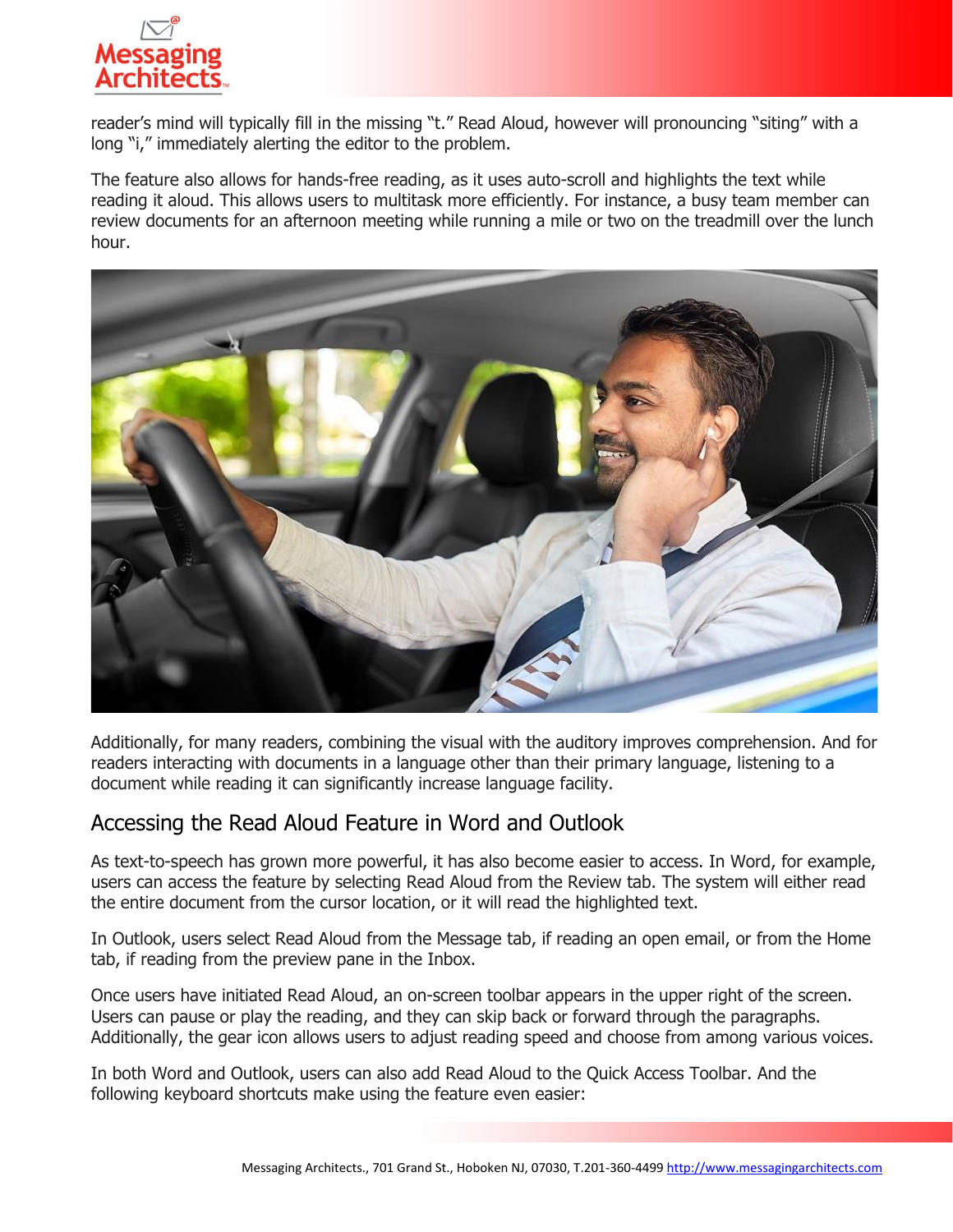

reader's mind will typically fill in the missing "t." Read Aloud, however will pronouncing "siting" with a long "i," immediately alerting the editor to the problem.

The feature also allows for hands-free reading, as it uses auto-scroll and highlights the text while reading it aloud. This allows users to multitask more efficiently. For instance, a busy team member can review documents for an afternoon meeting while running a mile or two on the treadmill over the lunch hour.



Additionally, for many readers, combining the visual with the auditory improves comprehension. And for readers interacting with documents in a language other than their primary language, listening to a document while reading it can significantly increase language facility.

### Accessing the Read Aloud Feature in Word and Outlook

As text-to-speech has grown more powerful, it has also become easier to access. In Word, for example, users can access the feature by selecting Read Aloud from the Review tab. The system will either read the entire document from the cursor location, or it will read the highlighted text.

In Outlook, users select Read Aloud from the Message tab, if reading an open email, or from the Home tab, if reading from the preview pane in the Inbox.

Once users have initiated Read Aloud, an on-screen toolbar appears in the upper right of the screen. Users can pause or play the reading, and they can skip back or forward through the paragraphs. Additionally, the gear icon allows users to adjust reading speed and choose from among various voices.

In both Word and Outlook, users can also add Read Aloud to the Quick Access Toolbar. And the following keyboard shortcuts make using the feature even easier: